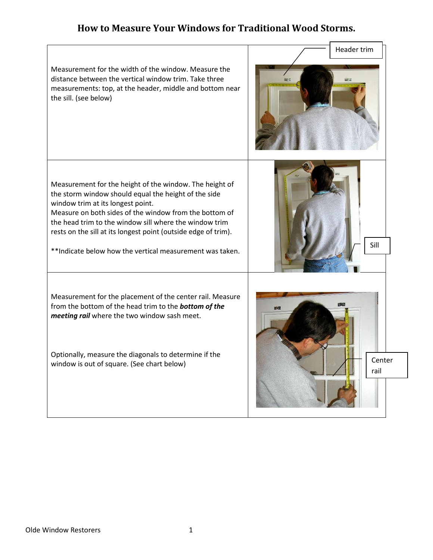## **How to Measure Your Windows for Traditional Wood Storms.**

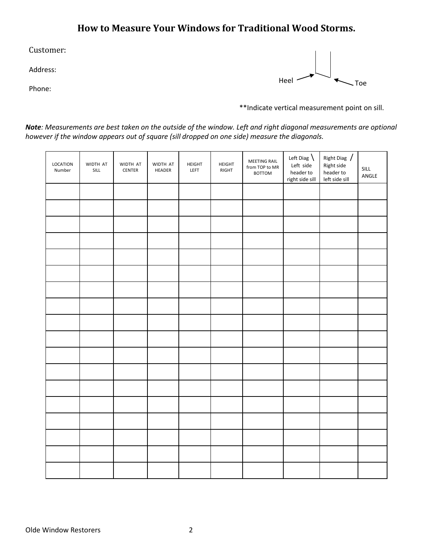## **How to Measure Your Windows for Traditional Wood Storms.**

Customer:

Address:

Phone:



\*\*Indicate vertical measurement point on sill.

*Note: Measurements are best taken on the outside of the window. Left and right diagonal measurements are optional however if the window appears out of square (sill dropped on one side) measure the diagonals.* 

| LOCATION<br>Number | WIDTH AT<br>$\ensuremath{\mathsf{SILL}}$ | WIDTH AT<br>CENTER | WIDTH AT<br>HEADER | HEIGHT<br>LEFT | HEIGHT<br>RIGHT | MEETING RAIL<br>from TOP to MR<br><b>BOTTOM</b> | Left Diag $\setminus$<br>Left side<br>header to<br>right side sill | Right Diag /<br>Right side<br>header to<br>left side sill | SILL<br>ANGLE |
|--------------------|------------------------------------------|--------------------|--------------------|----------------|-----------------|-------------------------------------------------|--------------------------------------------------------------------|-----------------------------------------------------------|---------------|
|                    |                                          |                    |                    |                |                 |                                                 |                                                                    |                                                           |               |
|                    |                                          |                    |                    |                |                 |                                                 |                                                                    |                                                           |               |
|                    |                                          |                    |                    |                |                 |                                                 |                                                                    |                                                           |               |
|                    |                                          |                    |                    |                |                 |                                                 |                                                                    |                                                           |               |
|                    |                                          |                    |                    |                |                 |                                                 |                                                                    |                                                           |               |
|                    |                                          |                    |                    |                |                 |                                                 |                                                                    |                                                           |               |
|                    |                                          |                    |                    |                |                 |                                                 |                                                                    |                                                           |               |
|                    |                                          |                    |                    |                |                 |                                                 |                                                                    |                                                           |               |
|                    |                                          |                    |                    |                |                 |                                                 |                                                                    |                                                           |               |
|                    |                                          |                    |                    |                |                 |                                                 |                                                                    |                                                           |               |
|                    |                                          |                    |                    |                |                 |                                                 |                                                                    |                                                           |               |
|                    |                                          |                    |                    |                |                 |                                                 |                                                                    |                                                           |               |
|                    |                                          |                    |                    |                |                 |                                                 |                                                                    |                                                           |               |
|                    |                                          |                    |                    |                |                 |                                                 |                                                                    |                                                           |               |
|                    |                                          |                    |                    |                |                 |                                                 |                                                                    |                                                           |               |
|                    |                                          |                    |                    |                |                 |                                                 |                                                                    |                                                           |               |
|                    |                                          |                    |                    |                |                 |                                                 |                                                                    |                                                           |               |
|                    |                                          |                    |                    |                |                 |                                                 |                                                                    |                                                           |               |